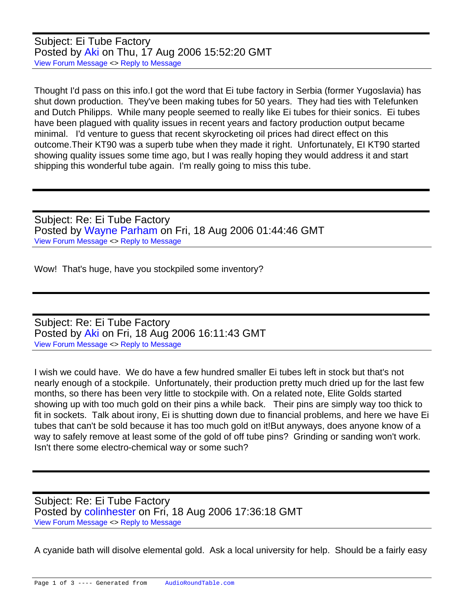Subject: Ei Tube Factory Posted by [Aki](https://audioroundtable.com/forum/index.php?t=usrinfo&id=198) on Thu, 17 Aug 2006 15:52:20 GMT [View Forum Message](https://audioroundtable.com/forum/index.php?t=rview&th=1736&goto=9774#msg_9774) <> [Reply to Message](https://audioroundtable.com/forum/index.php?t=post&reply_to=9774)

Thought I'd pass on this info.I got the word that Ei tube factory in Serbia (former Yugoslavia) has shut down production. They've been making tubes for 50 years. They had ties with Telefunken and Dutch Philipps. While many people seemed to really like Ei tubes for thieir sonics. Ei tubes have been plagued with quality issues in recent years and factory production output became minimal. I'd venture to guess that recent skyrocketing oil prices had direct effect on this outcome.Their KT90 was a superb tube when they made it right. Unfortunately, EI KT90 started showing quality issues some time ago, but I was really hoping they would address it and start shipping this wonderful tube again. I'm really going to miss this tube.

Subject: Re: Ei Tube Factory Posted by [Wayne Parham](https://audioroundtable.com/forum/index.php?t=usrinfo&id=5) on Fri, 18 Aug 2006 01:44:46 GMT [View Forum Message](https://audioroundtable.com/forum/index.php?t=rview&th=1736&goto=9782#msg_9782) <> [Reply to Message](https://audioroundtable.com/forum/index.php?t=post&reply_to=9782)

Wow! That's huge, have you stockpiled some inventory?

Subject: Re: Ei Tube Factory Posted by [Aki](https://audioroundtable.com/forum/index.php?t=usrinfo&id=198) on Fri, 18 Aug 2006 16:11:43 GMT [View Forum Message](https://audioroundtable.com/forum/index.php?t=rview&th=1736&goto=9783#msg_9783) <> [Reply to Message](https://audioroundtable.com/forum/index.php?t=post&reply_to=9783)

I wish we could have. We do have a few hundred smaller Ei tubes left in stock but that's not nearly enough of a stockpile. Unfortunately, their production pretty much dried up for the last few months, so there has been very little to stockpile with. On a related note, Elite Golds started showing up with too much gold on their pins a while back. Their pins are simply way too thick to fit in sockets. Talk about irony, Ei is shutting down due to financial problems, and here we have Ei tubes that can't be sold because it has too much gold on it!But anyways, does anyone know of a way to safely remove at least some of the gold of off tube pins? Grinding or sanding won't work. Isn't there some electro-chemical way or some such?

Subject: Re: Ei Tube Factory Posted by [colinhester](https://audioroundtable.com/forum/index.php?t=usrinfo&id=78) on Fri, 18 Aug 2006 17:36:18 GMT [View Forum Message](https://audioroundtable.com/forum/index.php?t=rview&th=1736&goto=9784#msg_9784) <> [Reply to Message](https://audioroundtable.com/forum/index.php?t=post&reply_to=9784)

A cyanide bath will disolve elemental gold. Ask a local university for help. Should be a fairly easy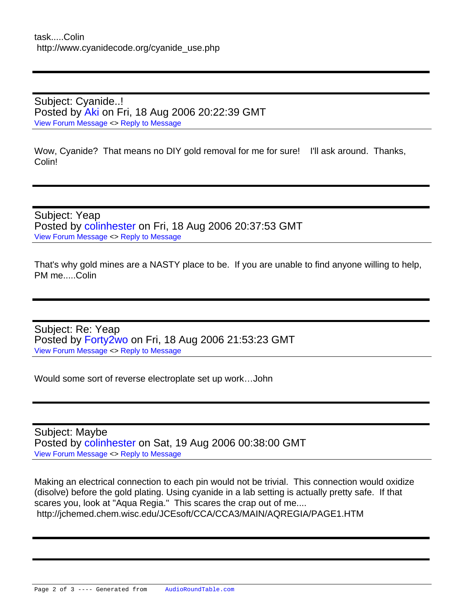Subject: Cyanide..! Posted by [Aki](https://audioroundtable.com/forum/index.php?t=usrinfo&id=198) on Fri, 18 Aug 2006 20:22:39 GMT [View Forum Message](https://audioroundtable.com/forum/index.php?t=rview&th=1736&goto=9785#msg_9785) <> [Reply to Message](https://audioroundtable.com/forum/index.php?t=post&reply_to=9785)

Wow, Cyanide? That means no DIY gold removal for me for sure! I'll ask around. Thanks, Colin!

Subject: Yeap Posted by [colinhester](https://audioroundtable.com/forum/index.php?t=usrinfo&id=78) on Fri, 18 Aug 2006 20:37:53 GMT [View Forum Message](https://audioroundtable.com/forum/index.php?t=rview&th=1736&goto=9786#msg_9786) <> [Reply to Message](https://audioroundtable.com/forum/index.php?t=post&reply_to=9786)

That's why gold mines are a NASTY place to be. If you are unable to find anyone willing to help, PM me.....Colin

Subject: Re: Yeap Posted by [Forty2wo](https://audioroundtable.com/forum/index.php?t=usrinfo&id=423) on Fri, 18 Aug 2006 21:53:23 GMT [View Forum Message](https://audioroundtable.com/forum/index.php?t=rview&th=1736&goto=9787#msg_9787) <> [Reply to Message](https://audioroundtable.com/forum/index.php?t=post&reply_to=9787)

Would some sort of reverse electroplate set up work…John

Subject: Maybe Posted by [colinhester](https://audioroundtable.com/forum/index.php?t=usrinfo&id=78) on Sat, 19 Aug 2006 00:38:00 GMT [View Forum Message](https://audioroundtable.com/forum/index.php?t=rview&th=1736&goto=9788#msg_9788) <> [Reply to Message](https://audioroundtable.com/forum/index.php?t=post&reply_to=9788)

Making an electrical connection to each pin would not be trivial. This connection would oxidize (disolve) before the gold plating. Using cyanide in a lab setting is actually pretty safe. If that scares you, look at "Aqua Regia." This scares the crap out of me.... http://jchemed.chem.wisc.edu/JCEsoft/CCA/CCA3/MAIN/AQREGIA/PAGE1.HTM